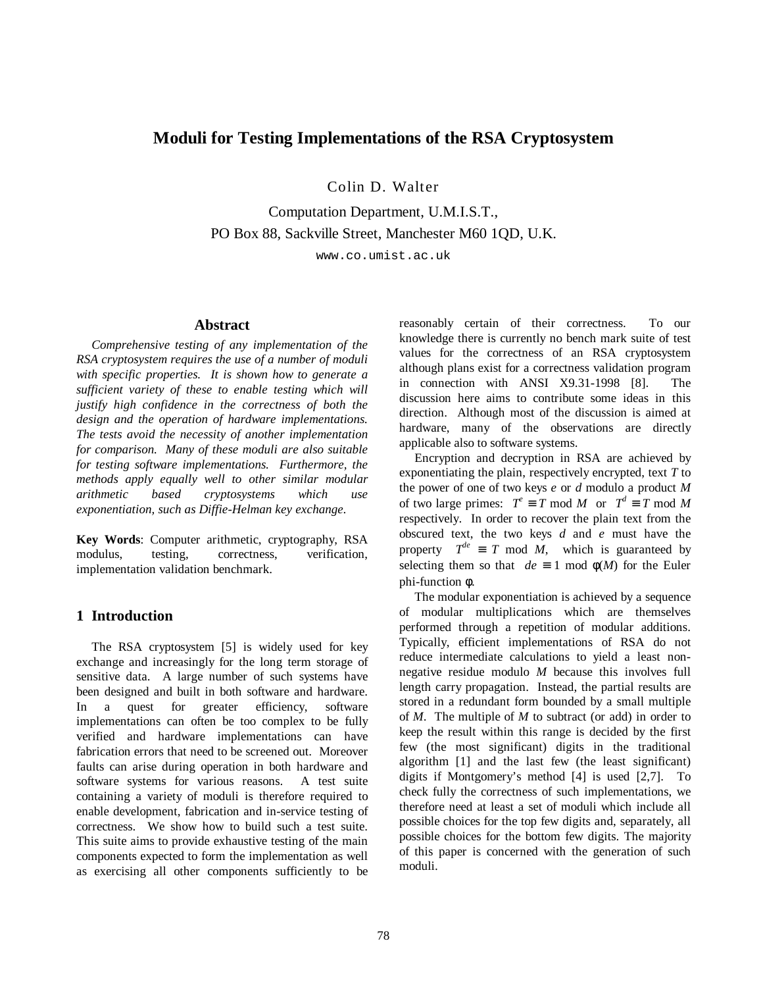# **Moduli for Testing Implementations of the RSA Cryptosystem**

Colin D. Walter

Computation Department, U.M.I.S.T., PO Box 88, Sackville Street, Manchester M60 1QD, U.K.

www.co.umist.ac.uk

#### **Abstract**

*Comprehensive testing of any implementation of the RSA cryptosystem requires the use of a number of moduli with specific properties. It is shown how to generate a sufficient variety of these to enable testing which will justify high confidence in the correctness of both the design and the operation of hardware implementations. The tests avoid the necessity of another implementation for comparison. Many of these moduli are also suitable for testing software implementations. Furthermore, the methods apply equally well to other similar modular arithmetic based cryptosystems which use exponentiation, such as Diffie-Helman key exchange.*

**Key Words**: Computer arithmetic, cryptography, RSA modulus, testing, correctness, verification, implementation validation benchmark.

# **1 Introduction**

The RSA cryptosystem [5] is widely used for key exchange and increasingly for the long term storage of sensitive data. A large number of such systems have been designed and built in both software and hardware. In a quest for greater efficiency, software implementations can often be too complex to be fully verified and hardware implementations can have fabrication errors that need to be screened out. Moreover faults can arise during operation in both hardware and software systems for various reasons. A test suite containing a variety of moduli is therefore required to enable development, fabrication and in-service testing of correctness. We show how to build such a test suite. This suite aims to provide exhaustive testing of the main components expected to form the implementation as well as exercising all other components sufficiently to be reasonably certain of their correctness. To our knowledge there is currently no bench mark suite of test values for the correctness of an RSA cryptosystem although plans exist for a correctness validation program in connection with ANSI X9.31-1998 [8]. The discussion here aims to contribute some ideas in this direction. Although most of the discussion is aimed at hardware, many of the observations are directly applicable also to software systems.

Encryption and decryption in RSA are achieved by exponentiating the plain, respectively encrypted, text *T* to the power of one of two keys *e* or *d* modulo a product *M* of two large primes:  $T^e \equiv T \mod M$  or  $T^d \equiv T \mod M$ respectively. In order to recover the plain text from the obscured text, the two keys *d* and *e* must have the property  $T^{de} \equiv T \mod M$ , which is guaranteed by selecting them so that  $de \equiv 1 \mod \phi(M)$  for the Euler phi-function φ.

The modular exponentiation is achieved by a sequence of modular multiplications which are themselves performed through a repetition of modular additions. Typically, efficient implementations of RSA do not reduce intermediate calculations to yield a least nonnegative residue modulo *M* because this involves full length carry propagation. Instead, the partial results are stored in a redundant form bounded by a small multiple of *M*. The multiple of *M* to subtract (or add) in order to keep the result within this range is decided by the first few (the most significant) digits in the traditional algorithm [1] and the last few (the least significant) digits if Montgomery's method [4] is used [2,7]. To check fully the correctness of such implementations, we therefore need at least a set of moduli which include all possible choices for the top few digits and, separately, all possible choices for the bottom few digits. The majority of this paper is concerned with the generation of such moduli.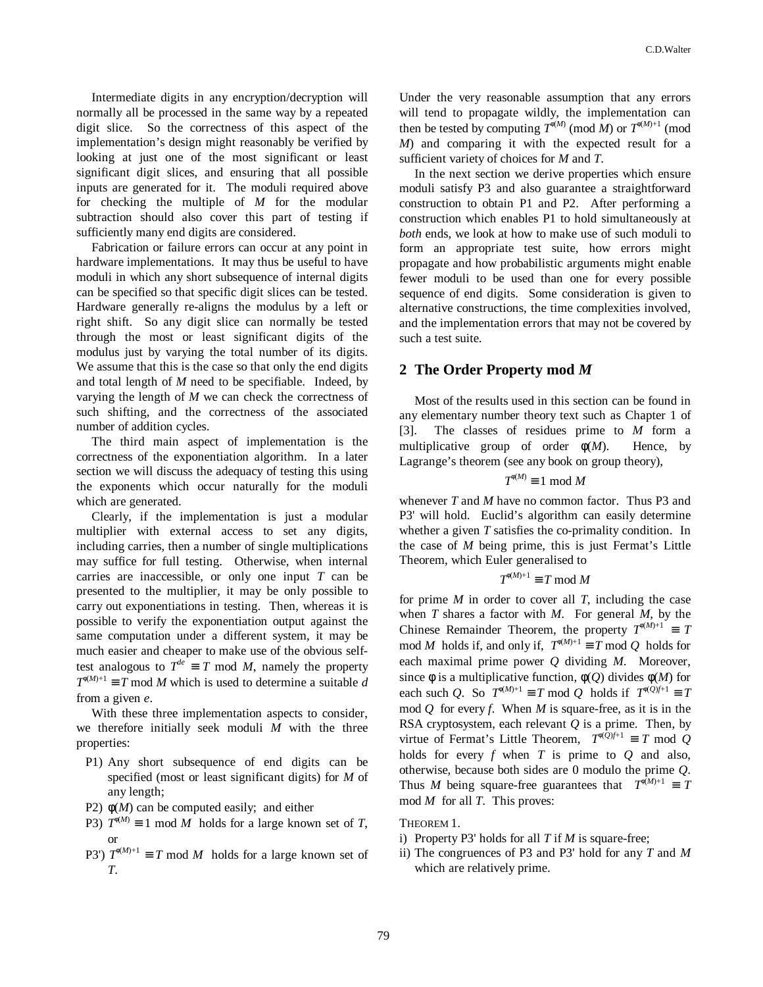Intermediate digits in any encryption/decryption will normally all be processed in the same way by a repeated digit slice. So the correctness of this aspect of the implementation's design might reasonably be verified by looking at just one of the most significant or least significant digit slices, and ensuring that all possible inputs are generated for it. The moduli required above for checking the multiple of *M* for the modular subtraction should also cover this part of testing if sufficiently many end digits are considered.

Fabrication or failure errors can occur at any point in hardware implementations. It may thus be useful to have moduli in which any short subsequence of internal digits can be specified so that specific digit slices can be tested. Hardware generally re-aligns the modulus by a left or right shift. So any digit slice can normally be tested through the most or least significant digits of the modulus just by varying the total number of its digits. We assume that this is the case so that only the end digits and total length of *M* need to be specifiable. Indeed, by varying the length of *M* we can check the correctness of such shifting, and the correctness of the associated number of addition cycles.

The third main aspect of implementation is the correctness of the exponentiation algorithm. In a later section we will discuss the adequacy of testing this using the exponents which occur naturally for the moduli which are generated.

Clearly, if the implementation is just a modular multiplier with external access to set any digits, including carries, then a number of single multiplications may suffice for full testing. Otherwise, when internal carries are inaccessible, or only one input *T* can be presented to the multiplier, it may be only possible to carry out exponentiations in testing. Then, whereas it is possible to verify the exponentiation output against the same computation under a different system, it may be much easier and cheaper to make use of the obvious selftest analogous to  $T^{de} \equiv T \mod M$ , namely the property  $T^{*(M)+1} \equiv T \mod M$  which is used to determine a suitable *d* from a given *e*.

With these three implementation aspects to consider, we therefore initially seek moduli *M* with the three properties:

- P1) Any short subsequence of end digits can be specified (most or least significant digits) for *M* of any length;
- P2) φ(*M*) can be computed easily; and either
- P3)  $T^{(M)} \equiv 1 \text{ mod } M$  holds for a large known set of *T*, or
- P3')  $T^{*(M)+1} \equiv T \mod M$  holds for a large known set of *T*.

Under the very reasonable assumption that any errors will tend to propagate wildly, the implementation can then be tested by computing  $T^{\phi(M)}$  (mod *M*) or  $T^{\phi(M)+1}$  (mod *M*) and comparing it with the expected result for a sufficient variety of choices for *M* and *T*.

In the next section we derive properties which ensure moduli satisfy P3 and also guarantee a straightforward construction to obtain P1 and P2. After performing a construction which enables P1 to hold simultaneously at *both* ends, we look at how to make use of such moduli to form an appropriate test suite, how errors might propagate and how probabilistic arguments might enable fewer moduli to be used than one for every possible sequence of end digits. Some consideration is given to alternative constructions, the time complexities involved, and the implementation errors that may not be covered by such a test suite.

## **2 The Order Property mod** *M*

Most of the results used in this section can be found in any elementary number theory text such as Chapter 1 of [3]. The classes of residues prime to *M* form a multiplicative group of order φ(*M*). Hence, by Lagrange's theorem (see any book on group theory),

$$
T^{\phi(M)}\equiv 1 \text{ mod } M
$$

whenever *T* and *M* have no common factor. Thus P3 and P3' will hold. Euclid's algorithm can easily determine whether a given *T* satisfies the co-primality condition. In the case of *M* being prime, this is just Fermat's Little Theorem, which Euler generalised to

$$
T^{\phi(M)+1} \equiv T \bmod M
$$

for prime *M* in order to cover all *T*, including the case when *T* shares a factor with *M*. For general *M*, by the Chinese Remainder Theorem, the property  $T^{(M)+1} \equiv T$ mod *M* holds if, and only if,  $T^{(M)+1} \equiv T \mod Q$  holds for each maximal prime power *Q* dividing *M*. Moreover, since  $\phi$  is a multiplicative function,  $\phi(Q)$  divides  $\phi(M)$  for each such *Q*. So  $T^{*(M)+1} \equiv T \mod Q$  holds if  $T^{*(Q)f+1} \equiv T$ mod *Q* for every *f*. When *M* is square-free, as it is in the RSA cryptosystem, each relevant *Q* is a prime. Then, by virtue of Fermat's Little Theorem,  $T^{*(Q)f+1} \equiv T \text{ mod } Q$ holds for every  $f$  when  $T$  is prime to  $Q$  and also, otherwise, because both sides are 0 modulo the prime *Q*. Thus *M* being square-free guarantees that  $T^{(M)+1} \equiv T$ mod *M* for all *T*. This proves:

- THEOREM 1.
- i) Property P3' holds for all *T* if *M* is square-free;
- ii) The congruences of P3 and P3' hold for any *T* and *M* which are relatively prime.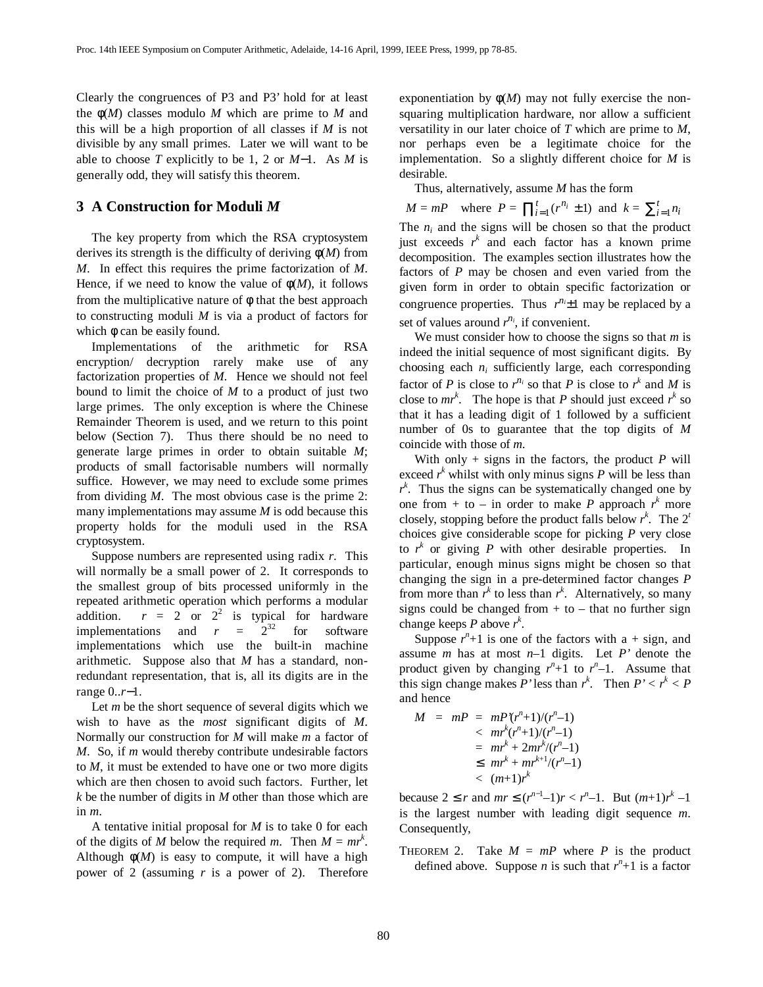Clearly the congruences of P3 and P3' hold for at least the φ(*M*) classes modulo *M* which are prime to *M* and this will be a high proportion of all classes if *M* is not divisible by any small primes. Later we will want to be able to choose *T* explicitly to be 1, 2 or *M*−1. As *M* is generally odd, they will satisfy this theorem.

# **3 A Construction for Moduli** *M*

The key property from which the RSA cryptosystem derives its strength is the difficulty of deriving φ(*M*) from *M*. In effect this requires the prime factorization of *M*. Hence, if we need to know the value of  $\phi(M)$ , it follows from the multiplicative nature of  $\phi$  that the best approach to constructing moduli *M* is via a product of factors for which  $\phi$  can be easily found.

Implementations of the arithmetic for RSA encryption/ decryption rarely make use of any factorization properties of *M*. Hence we should not feel bound to limit the choice of *M* to a product of just two large primes. The only exception is where the Chinese Remainder Theorem is used, and we return to this point below (Section 7). Thus there should be no need to generate large primes in order to obtain suitable *M*; products of small factorisable numbers will normally suffice. However, we may need to exclude some primes from dividing *M*. The most obvious case is the prime 2: many implementations may assume *M* is odd because this property holds for the moduli used in the RSA cryptosystem.

Suppose numbers are represented using radix *r*. This will normally be a small power of 2. It corresponds to the smallest group of bits processed uniformly in the repeated arithmetic operation which performs a modular addition.  $r = 2$  or  $2^2$  is typical for hardware implementations and  $r = 2^{32}$  for software implementations which use the built-in machine arithmetic. Suppose also that *M* has a standard, nonredundant representation, that is, all its digits are in the range 0..*r*−1.

Let *m* be the short sequence of several digits which we wish to have as the *most* significant digits of *M*. Normally our construction for *M* will make *m* a factor of *M*. So, if *m* would thereby contribute undesirable factors to *M*, it must be extended to have one or two more digits which are then chosen to avoid such factors. Further, let *k* be the number of digits in *M* other than those which are in *m*.

A tentative initial proposal for *M* is to take 0 for each of the digits of *M* below the required *m*. Then  $M = mr^k$ . Although  $\phi(M)$  is easy to compute, it will have a high power of 2 (assuming *r* is a power of 2). Therefore

exponentiation by  $\phi(M)$  may not fully exercise the nonsquaring multiplication hardware, nor allow a sufficient versatility in our later choice of *T* which are prime to *M*, nor perhaps even be a legitimate choice for the implementation. So a slightly different choice for *M* is desirable.

Thus, alternatively, assume *M* has the form

 $M = mP$  where  $P = \prod_{i=1}^{t} (r^{n_i} \pm 1)$ *i*  $\prod_{i=1}^{t} (r^{n_i} \pm 1)$  and  $k = \sum_{i=1}^{t} n_i$ The  $n_i$  and the signs will be chosen so that the product just exceeds  $r^k$  and each factor has a known prime decomposition. The examples section illustrates how the factors of *P* may be chosen and even varied from the given form in order to obtain specific factorization or congruence properties. Thus  $r^n \pm 1$  may be replaced by a set of values around  $r^{n_i}$ , if convenient.

We must consider how to choose the signs so that *m* is indeed the initial sequence of most significant digits. By choosing each  $n_i$  sufficiently large, each corresponding factor of *P* is close to  $r^{n_i}$  so that *P* is close to  $r^k$  and *M* is close to  $mr^k$ . The hope is that *P* should just exceed  $r^k$  so that it has a leading digit of 1 followed by a sufficient number of 0s to guarantee that the top digits of *M* coincide with those of *m*.

With only  $+$  signs in the factors, the product  $P$  will exceed  $r^k$  whilst with only minus signs  $P$  will be less than  $r^k$ . Thus the signs can be systematically changed one by one from  $+$  to  $-$  in order to make *P* approach  $r<sup>k</sup>$  more closely, stopping before the product falls below  $r^k$ . The  $2^t$ choices give considerable scope for picking *P* very close to  $r^k$  or giving *P* with other desirable properties. In particular, enough minus signs might be chosen so that changing the sign in a pre-determined factor changes *P* from more than  $r^k$  to less than  $r^k$ . Alternatively, so many signs could be changed from  $+$  to  $-$  that no further sign change keeps *P* above *r k* .

Suppose  $r^n + 1$  is one of the factors with  $a + sign$ , and assume *m* has at most  $n-1$  digits. Let  $P'$  denote the product given by changing  $r^n+1$  to  $r^n-1$ . Assume that this sign change makes *P*' less than  $r^k$ . Then  $P' < r^k < P$ and hence

$$
M = mP = mP'(r^{n}+1)/(r^{n}-1)
$$
  

$$
< m r^{k}(r^{n}+1)/(r^{n}-1)
$$
  

$$
= m r^{k} + 2mr^{k}/(r^{n}-1)
$$
  

$$
\leq mr^{k} + mr^{k+1}/(r^{n}-1)
$$
  

$$
< (m+1)r^{k}
$$

because 2 ≤ *r* and  $mr$  ≤  $(r^{n-1}-1)r$  <  $r^{n}-1$ . But  $(m+1)r^{k}-1$ is the largest number with leading digit sequence *m*. Consequently,

THEOREM 2. Take  $M = mP$  where P is the product defined above. Suppose *n* is such that  $r^n + 1$  is a factor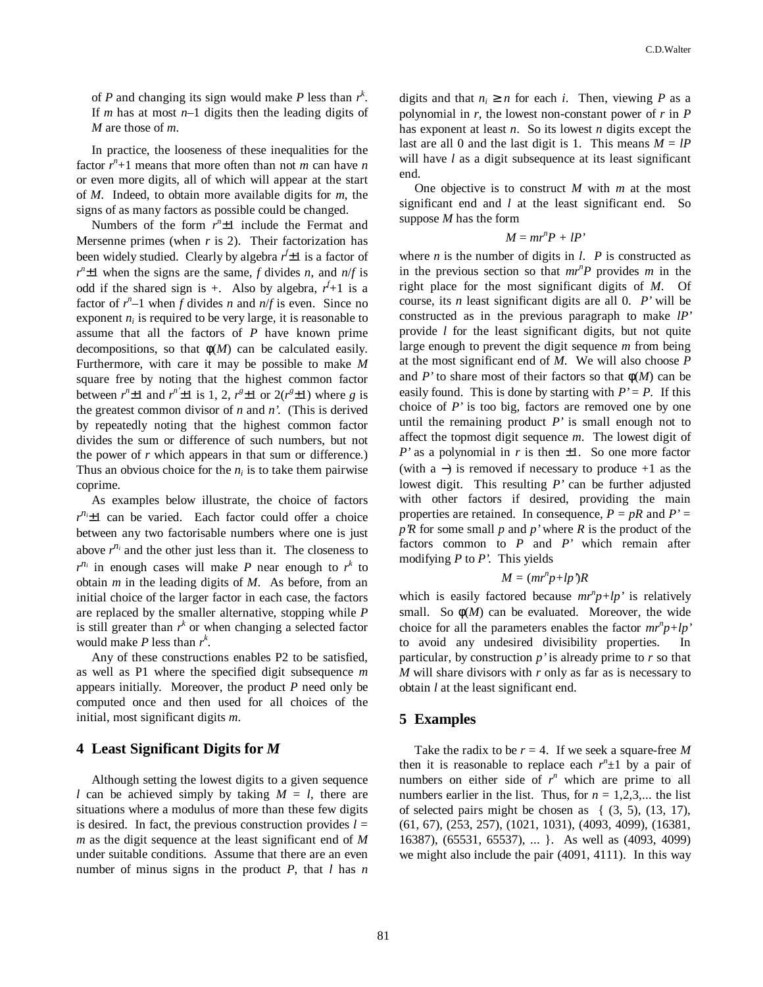of *P* and changing its sign would make *P* less than  $r^k$ . If *m* has at most  $n-1$  digits then the leading digits of *M* are those of *m*.

In practice, the looseness of these inequalities for the factor  $r^n + 1$  means that more often than not *m* can have *n* or even more digits, all of which will appear at the start of *M*. Indeed, to obtain more available digits for *m*, the signs of as many factors as possible could be changed.

Numbers of the form  $r^n \pm 1$  include the Fermat and Mersenne primes (when *r* is 2). Their factorization has been widely studied. Clearly by algebra *r f* ±1 is a factor of  $r<sup>n</sup> \pm 1$  when the signs are the same, *f* divides *n*, and *n*/*f* is odd if the shared sign is  $+$ . Also by algebra,  $r^f+1$  is a factor of  $r^n$ –1 when *f* divides *n* and  $n/f$  is even. Since no exponent  $n_i$  is required to be very large, it is reasonable to assume that all the factors of *P* have known prime decompositions, so that  $\phi(M)$  can be calculated easily. Furthermore, with care it may be possible to make *M* square free by noting that the highest common factor between  $r^n \pm 1$  and  $r^{n'} \pm 1$  is 1, 2,  $r^s \pm 1$  or  $2(r^s \pm 1)$  where *g* is the greatest common divisor of *n* and *n'*. (This is derived by repeatedly noting that the highest common factor divides the sum or difference of such numbers, but not the power of *r* which appears in that sum or difference.) Thus an obvious choice for the  $n_i$  is to take them pairwise coprime.

As examples below illustrate, the choice of factors  $r^n \pm 1$  can be varied. Each factor could offer a choice between any two factorisable numbers where one is just above  $r^{n_i}$  and the other just less than it. The closeness to  $r^{n_i}$  in enough cases will make *P* near enough to  $r^k$  to obtain *m* in the leading digits of *M*. As before, from an initial choice of the larger factor in each case, the factors are replaced by the smaller alternative, stopping while *P* is still greater than  $r<sup>k</sup>$  or when changing a selected factor would make *P* less than  $r^k$ .

Any of these constructions enables P2 to be satisfied, as well as P1 where the specified digit subsequence *m* appears initially. Moreover, the product *P* need only be computed once and then used for all choices of the initial, most significant digits *m*.

#### **4 Least Significant Digits for** *M*

Although setting the lowest digits to a given sequence *l* can be achieved simply by taking  $M = l$ , there are situations where a modulus of more than these few digits is desired. In fact, the previous construction provides  $l =$ *m* as the digit sequence at the least significant end of *M* under suitable conditions. Assume that there are an even number of minus signs in the product *P*, that *l* has *n*

digits and that  $n_i \geq n$  for each *i*. Then, viewing *P* as a polynomial in *r*, the lowest non-constant power of *r* in *P* has exponent at least *n*. So its lowest *n* digits except the last are all 0 and the last digit is 1. This means  $M = IP$ will have *l* as a digit subsequence at its least significant end.

One objective is to construct *M* with *m* at the most significant end and *l* at the least significant end. So suppose *M* has the form

$$
M=mr^nP+lP'
$$

where  $n$  is the number of digits in  $l$ .  $P$  is constructed as in the previous section so that  $mr^nP$  provides  $m$  in the right place for the most significant digits of *M*. Of course, its *n* least significant digits are all 0. *P'* will be constructed as in the previous paragraph to make *lP'* provide *l* for the least significant digits, but not quite large enough to prevent the digit sequence *m* from being at the most significant end of *M*. We will also choose *P* and *P*' to share most of their factors so that  $\phi(M)$  can be easily found. This is done by starting with  $P' = P$ . If this choice of *P'* is too big, factors are removed one by one until the remaining product  $P'$  is small enough not to affect the topmost digit sequence *m*. The lowest digit of  $P'$  as a polynomial in *r* is then  $\pm 1$ . So one more factor (with a −) is removed if necessary to produce +1 as the lowest digit. This resulting *P'* can be further adjusted with other factors if desired, providing the main properties are retained. In consequence,  $P = pR$  and  $P' =$ *p'R* for some small *p* and *p'* where *R* is the product of the factors common to *P* and *P'* which remain after modifying *P* to *P'*. This yields

$$
M = (mr^n p + lp)R
$$

which is easily factored because  $mr^{n}p+lp^{n}$  is relatively small. So  $\phi(M)$  can be evaluated. Moreover, the wide choice for all the parameters enables the factor  $mr^{n}p+lp^{n}$ to avoid any undesired divisibility properties. In particular, by construction *p'* is already prime to *r* so that *M* will share divisors with *r* only as far as is necessary to obtain *l* at the least significant end.

## **5 Examples**

Take the radix to be  $r = 4$ . If we seek a square-free M then it is reasonable to replace each  $r<sup>n</sup> \pm 1$  by a pair of numbers on either side of  $r^n$  which are prime to all numbers earlier in the list. Thus, for  $n = 1,2,3,...$  the list of selected pairs might be chosen as  $\{ (3, 5), (13, 17),$ (61, 67), (253, 257), (1021, 1031), (4093, 4099), (16381, 16387), (65531, 65537), ... }. As well as (4093, 4099) we might also include the pair (4091, 4111). In this way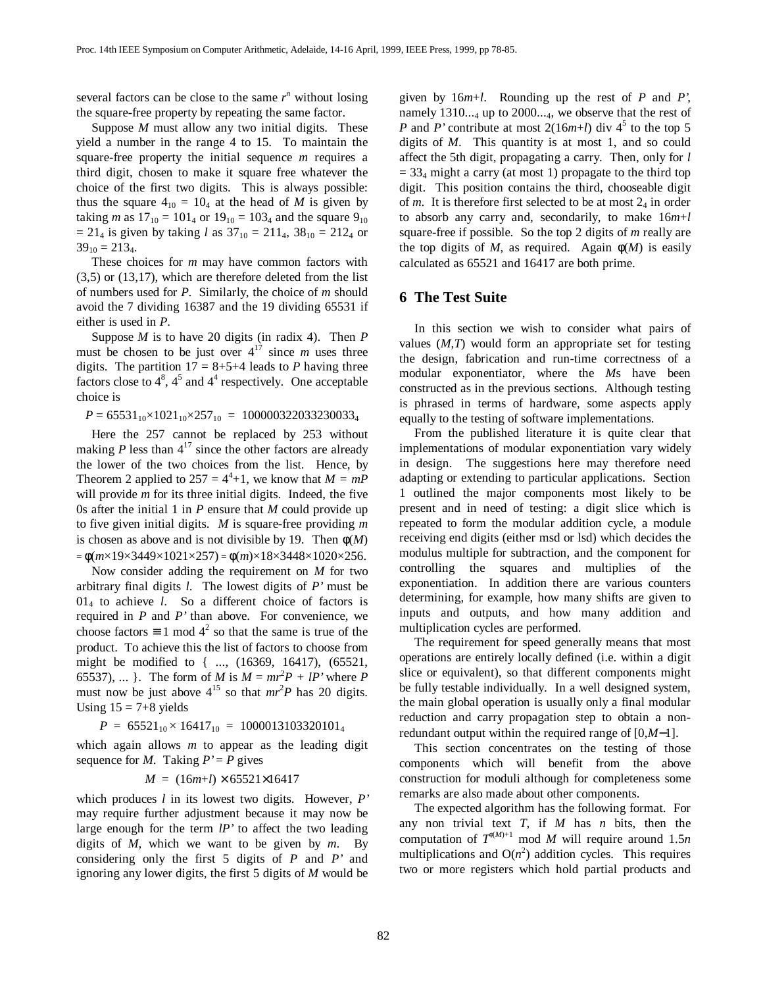several factors can be close to the same  $r^n$  without losing the square-free property by repeating the same factor.

Suppose *M* must allow any two initial digits. These yield a number in the range 4 to 15. To maintain the square-free property the initial sequence *m* requires a third digit, chosen to make it square free whatever the choice of the first two digits. This is always possible: thus the square  $4_{10} = 10_4$  at the head of *M* is given by taking *m* as  $17_{10} = 101_4$  or  $19_{10} = 103_4$  and the square  $9_{10}$  $= 21_4$  is given by taking *l* as  $37_{10} = 211_4$ ,  $38_{10} = 212_4$  or  $39_{10} = 213_4.$ 

These choices for *m* may have common factors with (3,5) or (13,17), which are therefore deleted from the list of numbers used for *P*. Similarly, the choice of *m* should avoid the 7 dividing 16387 and the 19 dividing 65531 if either is used in *P*.

Suppose *M* is to have 20 digits (in radix 4). Then *P* must be chosen to be just over  $4^{17}$  since *m* uses three digits. The partition  $17 = 8+5+4$  leads to *P* having three factors close to  $4^8$ ,  $4^5$  and  $4^4$  respectively. One acceptable choice is

 $P = 65531_{10} \times 1021_{10} \times 257_{10} = 100000322033230033_4$ 

Here the 257 cannot be replaced by 253 without making *P* less than  $4^{17}$  since the other factors are already the lower of the two choices from the list. Hence, by Theorem 2 applied to  $257 = 4^4 + 1$ , we know that  $M = mP$ will provide *m* for its three initial digits. Indeed, the five 0s after the initial 1 in *P* ensure that *M* could provide up to five given initial digits. *M* is square-free providing *m* is chosen as above and is not divisible by 19. Then  $\phi(M)$ = φ(*m*×19×3449×1021×257) = φ(*m*)×18×3448×1020×256.

Now consider adding the requirement on *M* for two arbitrary final digits *l*. The lowest digits of *P'* must be 014 to achieve *l*. So a different choice of factors is required in *P* and *P'* than above. For convenience, we choose factors  $\equiv 1 \mod 4^2$  so that the same is true of the product. To achieve this the list of factors to choose from might be modified to { ..., (16369, 16417), (65521, 65537), ... }. The form of *M* is  $M = mr^2P + IP'$  where *P* must now be just above  $4^{15}$  so that  $mr^2P$  has 20 digits. Using  $15 = 7+8$  yields

 $P = 65521_{10} \times 16417_{10} = 1000013103320101_4$ 

which again allows *m* to appear as the leading digit sequence for *M*. Taking  $P' = P$  gives

$$
M = (16m+1) \times 65521 \times 16417
$$

which produces *l* in its lowest two digits. However, *P'* may require further adjustment because it may now be large enough for the term *lP'* to affect the two leading digits of *M*, which we want to be given by *m*. By considering only the first 5 digits of *P* and *P'* and ignoring any lower digits, the first 5 digits of *M* would be

given by 16*m*+*l*. Rounding up the rest of *P* and *P'*, namely 1310...<sub>4</sub> up to 2000...<sub>4</sub>, we observe that the rest of *P* and *P*' contribute at most  $2(16m+1)$  div  $4^5$  to the top 5 digits of *M*. This quantity is at most 1, and so could affect the 5th digit, propagating a carry. Then, only for *l*  $= 33<sub>4</sub>$  might a carry (at most 1) propagate to the third top digit. This position contains the third, chooseable digit of *m*. It is therefore first selected to be at most  $2<sub>4</sub>$  in order to absorb any carry and, secondarily, to make 16*m*+*l* square-free if possible. So the top 2 digits of *m* really are the top digits of *M*, as required. Again  $\phi(M)$  is easily calculated as 65521 and 16417 are both prime.

#### **6 The Test Suite**

In this section we wish to consider what pairs of values (*M*,*T*) would form an appropriate set for testing the design, fabrication and run-time correctness of a modular exponentiator, where the *M*s have been constructed as in the previous sections. Although testing is phrased in terms of hardware, some aspects apply equally to the testing of software implementations.

From the published literature it is quite clear that implementations of modular exponentiation vary widely in design. The suggestions here may therefore need adapting or extending to particular applications. Section 1 outlined the major components most likely to be present and in need of testing: a digit slice which is repeated to form the modular addition cycle, a module receiving end digits (either msd or lsd) which decides the modulus multiple for subtraction, and the component for controlling the squares and multiplies of the exponentiation. In addition there are various counters determining, for example, how many shifts are given to inputs and outputs, and how many addition and multiplication cycles are performed.

The requirement for speed generally means that most operations are entirely locally defined (i.e. within a digit slice or equivalent), so that different components might be fully testable individually. In a well designed system, the main global operation is usually only a final modular reduction and carry propagation step to obtain a nonredundant output within the required range of [0,*M*−1].

This section concentrates on the testing of those components which will benefit from the above construction for moduli although for completeness some remarks are also made about other components.

The expected algorithm has the following format. For any non trivial text *T*, if *M* has *n* bits, then the computation of  $T^{*(M)+1}$  mod *M* will require around 1.5*n* multiplications and  $O(n^2)$  addition cycles. This requires two or more registers which hold partial products and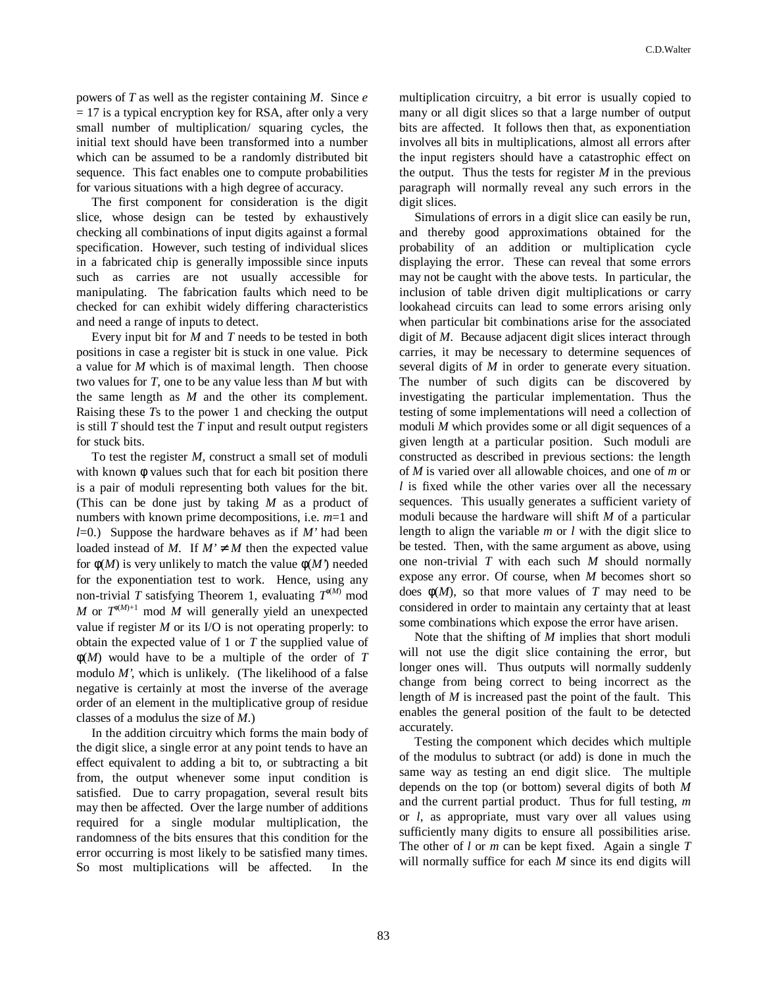powers of *T* as well as the register containing *M*. Since *e*  $= 17$  is a typical encryption key for RSA, after only a very small number of multiplication/ squaring cycles, the initial text should have been transformed into a number which can be assumed to be a randomly distributed bit sequence. This fact enables one to compute probabilities for various situations with a high degree of accuracy.

The first component for consideration is the digit slice, whose design can be tested by exhaustively checking all combinations of input digits against a formal specification. However, such testing of individual slices in a fabricated chip is generally impossible since inputs such as carries are not usually accessible for manipulating. The fabrication faults which need to be checked for can exhibit widely differing characteristics and need a range of inputs to detect.

Every input bit for *M* and *T* needs to be tested in both positions in case a register bit is stuck in one value. Pick a value for *M* which is of maximal length. Then choose two values for *T*, one to be any value less than *M* but with the same length as *M* and the other its complement. Raising these *T*s to the power 1 and checking the output is still *T* should test the *T* input and result output registers for stuck bits.

To test the register *M*, construct a small set of moduli with known φ values such that for each bit position there is a pair of moduli representing both values for the bit. (This can be done just by taking *M* as a product of numbers with known prime decompositions, i.e. *m*=1 and *l*=0.) Suppose the hardware behaves as if *M'* had been loaded instead of *M*. If  $M' \neq M$  then the expected value for  $\phi(M)$  is very unlikely to match the value  $\phi(M')$  needed for the exponentiation test to work. Hence, using any non-trivial *T* satisfying Theorem 1, evaluating  $T^{*(M)}$  mod *M* or  $T^{*(M)+1}$  mod *M* will generally yield an unexpected value if register *M* or its I/O is not operating properly: to obtain the expected value of 1 or *T* the supplied value of φ(*M*) would have to be a multiple of the order of *T* modulo *M'*, which is unlikely. (The likelihood of a false negative is certainly at most the inverse of the average order of an element in the multiplicative group of residue classes of a modulus the size of *M*.)

In the addition circuitry which forms the main body of the digit slice, a single error at any point tends to have an effect equivalent to adding a bit to, or subtracting a bit from, the output whenever some input condition is satisfied. Due to carry propagation, several result bits may then be affected. Over the large number of additions required for a single modular multiplication, the randomness of the bits ensures that this condition for the error occurring is most likely to be satisfied many times. So most multiplications will be affected. In the multiplication circuitry, a bit error is usually copied to many or all digit slices so that a large number of output bits are affected. It follows then that, as exponentiation involves all bits in multiplications, almost all errors after the input registers should have a catastrophic effect on the output. Thus the tests for register  $M$  in the previous paragraph will normally reveal any such errors in the digit slices.

Simulations of errors in a digit slice can easily be run, and thereby good approximations obtained for the probability of an addition or multiplication cycle displaying the error. These can reveal that some errors may not be caught with the above tests. In particular, the inclusion of table driven digit multiplications or carry lookahead circuits can lead to some errors arising only when particular bit combinations arise for the associated digit of *M*. Because adjacent digit slices interact through carries, it may be necessary to determine sequences of several digits of *M* in order to generate every situation. The number of such digits can be discovered by investigating the particular implementation. Thus the testing of some implementations will need a collection of moduli *M* which provides some or all digit sequences of a given length at a particular position. Such moduli are constructed as described in previous sections: the length of *M* is varied over all allowable choices, and one of *m* or *l* is fixed while the other varies over all the necessary sequences. This usually generates a sufficient variety of moduli because the hardware will shift *M* of a particular length to align the variable *m* or *l* with the digit slice to be tested. Then, with the same argument as above, using one non-trivial *T* with each such *M* should normally expose any error. Of course, when *M* becomes short so does  $\phi(M)$ , so that more values of *T* may need to be considered in order to maintain any certainty that at least some combinations which expose the error have arisen.

Note that the shifting of *M* implies that short moduli will not use the digit slice containing the error, but longer ones will. Thus outputs will normally suddenly change from being correct to being incorrect as the length of *M* is increased past the point of the fault. This enables the general position of the fault to be detected accurately.

Testing the component which decides which multiple of the modulus to subtract (or add) is done in much the same way as testing an end digit slice. The multiple depends on the top (or bottom) several digits of both *M* and the current partial product. Thus for full testing, *m* or *l*, as appropriate, must vary over all values using sufficiently many digits to ensure all possibilities arise. The other of *l* or *m* can be kept fixed. Again a single *T* will normally suffice for each *M* since its end digits will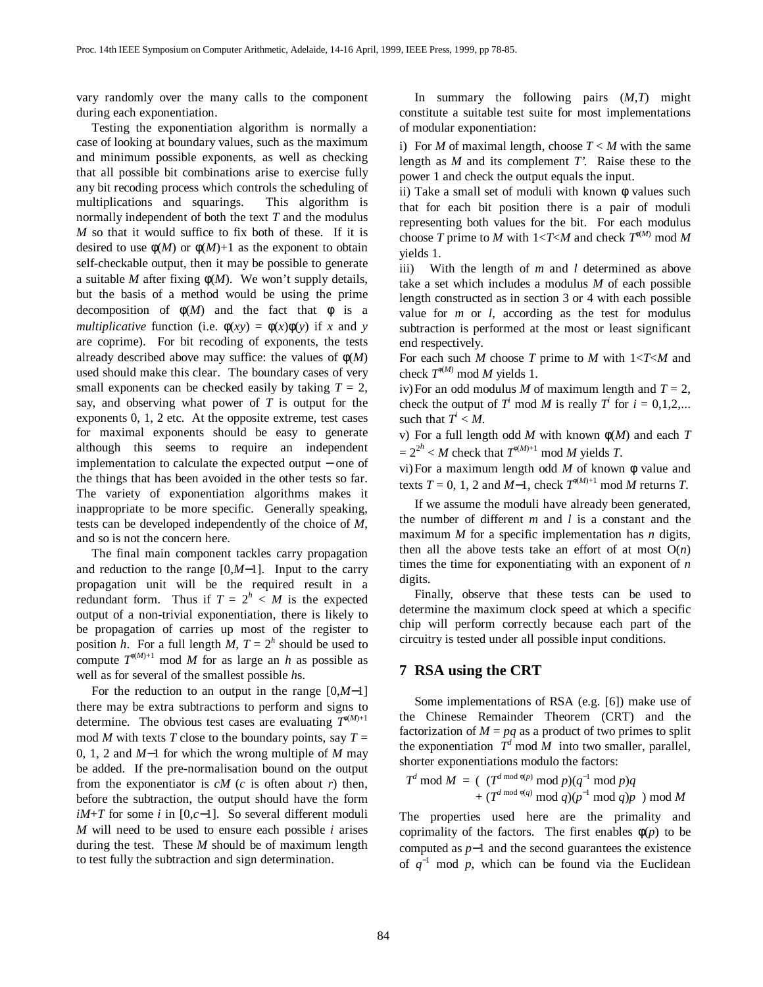vary randomly over the many calls to the component during each exponentiation.

Testing the exponentiation algorithm is normally a case of looking at boundary values, such as the maximum and minimum possible exponents, as well as checking that all possible bit combinations arise to exercise fully any bit recoding process which controls the scheduling of multiplications and squarings. This algorithm is normally independent of both the text *T* and the modulus *M* so that it would suffice to fix both of these. If it is desired to use  $\phi(M)$  or  $\phi(M)+1$  as the exponent to obtain self-checkable output, then it may be possible to generate a suitable *M* after fixing φ(*M*). We won't supply details, but the basis of a method would be using the prime decomposition of  $\phi(M)$  and the fact that  $\phi$  is a *multiplicative* function (i.e.  $\phi(xy) = \phi(x)\phi(y)$  if *x* and *y* are coprime). For bit recoding of exponents, the tests already described above may suffice: the values of φ(*M*) used should make this clear. The boundary cases of very small exponents can be checked easily by taking  $T = 2$ , say, and observing what power of *T* is output for the exponents 0, 1, 2 etc. At the opposite extreme, test cases for maximal exponents should be easy to generate although this seems to require an independent implementation to calculate the expected output − one of the things that has been avoided in the other tests so far. The variety of exponentiation algorithms makes it inappropriate to be more specific. Generally speaking, tests can be developed independently of the choice of *M*, and so is not the concern here.

The final main component tackles carry propagation and reduction to the range [0,*M*−1]. Input to the carry propagation unit will be the required result in a redundant form. Thus if  $T = 2^h < M$  is the expected output of a non-trivial exponentiation, there is likely to be propagation of carries up most of the register to position *h*. For a full length *M*,  $T = 2<sup>h</sup>$  should be used to compute  $T^{\phi(M)+1}$  mod *M* for as large an *h* as possible as well as for several of the smallest possible *h*s.

For the reduction to an output in the range [0,*M*−1] there may be extra subtractions to perform and signs to determine. The obvious test cases are evaluating  $T^{(M)+1}$ mod *M* with texts *T* close to the boundary points, say  $T =$ 0, 1, 2 and *M*−1 for which the wrong multiple of *M* may be added. If the pre-normalisation bound on the output from the exponentiator is  $cM$  ( $c$  is often about  $r$ ) then, before the subtraction, the output should have the form *iM*+*T* for some *i* in [0,*c*−1]. So several different moduli *M* will need to be used to ensure each possible *i* arises during the test. These *M* should be of maximum length to test fully the subtraction and sign determination.

In summary the following pairs (*M*,*T*) might constitute a suitable test suite for most implementations of modular exponentiation:

i) For *M* of maximal length, choose  $T < M$  with the same length as *M* and its complement *T'*. Raise these to the power 1 and check the output equals the input.

ii) Take a small set of moduli with known φ values such that for each bit position there is a pair of moduli representing both values for the bit. For each modulus choose *T* prime to *M* with  $1 < T < M$  and check  $T^{*(M)}$  mod *M* yields 1.

iii) With the length of *m* and *l* determined as above take a set which includes a modulus *M* of each possible length constructed as in section 3 or 4 with each possible value for  $m$  or  $l$ , according as the test for modulus subtraction is performed at the most or least significant end respectively.

For each such *M* choose *T* prime to *M* with 1<*T*<*M* and check  $T^{\phi(M)}$  mod *M* yields 1.

iv) For an odd modulus *M* of maximum length and  $T = 2$ , check the output of  $T^i$  mod  $M$  is really  $T^i$  for  $i = 0,1,2,...$ such that  $T^i < M$ .

v) For a full length odd *M* with known φ(*M*) and each *T*  $= 2^{2^h}$  < *M* check that  $T^{*(M)+1}$  mod *M* yields *T*.

vi)For a maximum length odd *M* of known φ value and texts *T* = 0, 1, 2 and *M*−1, check  $T^{\phi(M)+1}$  mod *M* returns *T*.

If we assume the moduli have already been generated, the number of different *m* and *l* is a constant and the maximum *M* for a specific implementation has *n* digits, then all the above tests take an effort of at most  $O(n)$ times the time for exponentiating with an exponent of *n* digits.

Finally, observe that these tests can be used to determine the maximum clock speed at which a specific chip will perform correctly because each part of the circuitry is tested under all possible input conditions.

## **7 RSA using the CRT**

Some implementations of RSA (e.g. [6]) make use of the Chinese Remainder Theorem (CRT) and the factorization of  $M = pq$  as a product of two primes to split the exponentiation  $T^d$  mod *M* into two smaller, parallel, shorter exponentiations modulo the factors:

$$
Td \bmod M = (Td \bmod \phi(p) \bmod p)(q-1 \bmod p)q
$$
  
+ (T<sup>d \bmod \phi(q)</sup> \bmod q)(p<sup>-1</sup> \bmod q)p ) mod M

The properties used here are the primality and coprimality of the factors. The first enables  $\phi(p)$  to be computed as *p*−1 and the second guarantees the existence of  $q^{-1}$  mod p, which can be found via the Euclidean